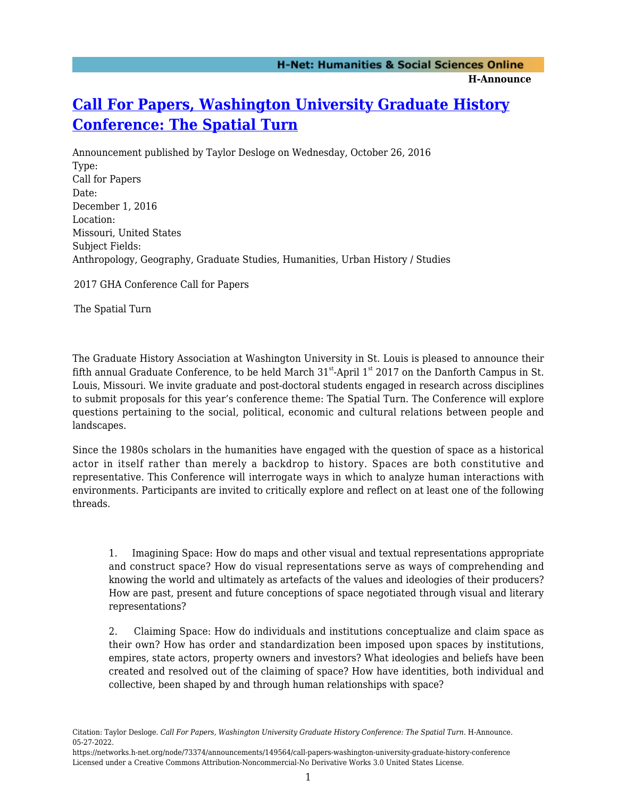## **[Call For Papers, Washington University Graduate History](https://networks.h-net.org/node/73374/announcements/149564/call-papers-washington-university-graduate-history-conference) [Conference: The Spatial Turn](https://networks.h-net.org/node/73374/announcements/149564/call-papers-washington-university-graduate-history-conference)**

Announcement published by Taylor Desloge on Wednesday, October 26, 2016 Type: Call for Papers Date: December 1, 2016 Location: Missouri, United States Subject Fields: Anthropology, Geography, Graduate Studies, Humanities, Urban History / Studies

2017 GHA Conference Call for Papers

The Spatial Turn

The Graduate History Association at Washington University in St. Louis is pleased to announce their fifth annual Graduate Conference, to be held March  $31<sup>st</sup>$ -April  $1<sup>st</sup>$  2017 on the Danforth Campus in St. Louis, Missouri. We invite graduate and post-doctoral students engaged in research across disciplines to submit proposals for this year's conference theme: The Spatial Turn. The Conference will explore questions pertaining to the social, political, economic and cultural relations between people and landscapes.

Since the 1980s scholars in the humanities have engaged with the question of space as a historical actor in itself rather than merely a backdrop to history. Spaces are both constitutive and representative. This Conference will interrogate ways in which to analyze human interactions with environments. Participants are invited to critically explore and reflect on at least one of the following threads.

1. Imagining Space: How do maps and other visual and textual representations appropriate and construct space? How do visual representations serve as ways of comprehending and knowing the world and ultimately as artefacts of the values and ideologies of their producers? How are past, present and future conceptions of space negotiated through visual and literary representations?

2. Claiming Space: How do individuals and institutions conceptualize and claim space as their own? How has order and standardization been imposed upon spaces by institutions, empires, state actors, property owners and investors? What ideologies and beliefs have been created and resolved out of the claiming of space? How have identities, both individual and collective, been shaped by and through human relationships with space?

Citation: Taylor Desloge. *Call For Papers, Washington University Graduate History Conference: The Spatial Turn*. H-Announce. 05-27-2022.

https://networks.h-net.org/node/73374/announcements/149564/call-papers-washington-university-graduate-history-conference Licensed under a Creative Commons Attribution-Noncommercial-No Derivative Works 3.0 United States License.